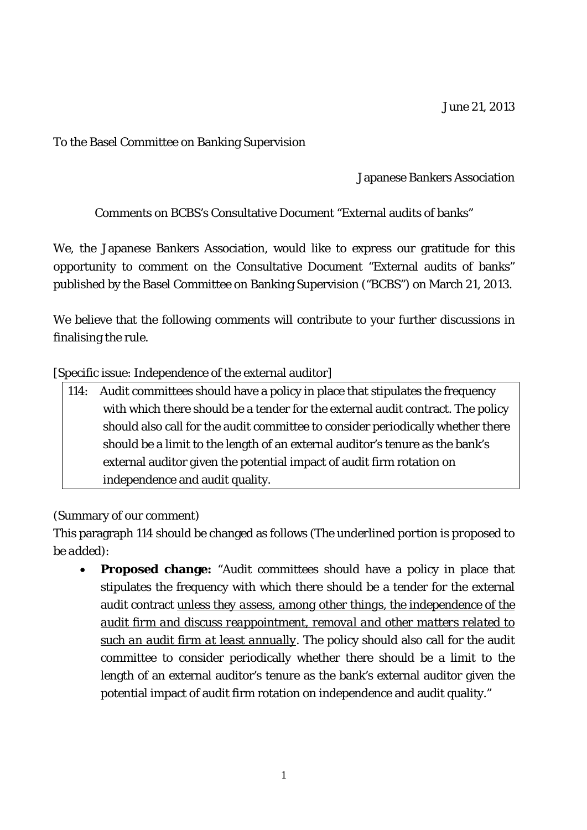To the Basel Committee on Banking Supervision

Japanese Bankers Association

Comments on BCBS's Consultative Document "External audits of banks"

We, the Japanese Bankers Association, would like to express our gratitude for this opportunity to comment on the Consultative Document "External audits of banks" published by the Basel Committee on Banking Supervision ("BCBS") on March 21, 2013.

We believe that the following comments will contribute to your further discussions in finalising the rule.

[Specific issue: Independence of the external auditor]

114: Audit committees should have a policy in place that stipulates the frequency with which there should be a tender for the external audit contract. The policy should also call for the audit committee to consider periodically whether there should be a limit to the length of an external auditor's tenure as the bank's external auditor given the potential impact of audit firm rotation on independence and audit quality.

(Summary of our comment)

This paragraph 114 should be changed as follows (*The underlined portion is proposed to be added*):

 **Proposed change:** "Audit committees should have a policy in place that stipulates the frequency with which there should be a tender for the external audit contract *unless they assess, among other things, the independence of the audit firm and discuss reappointment, removal and other matters related to such an audit firm at least annually.* The policy should also call for the audit committee to consider periodically whether there should be a limit to the length of an external auditor's tenure as the bank's external auditor given the potential impact of audit firm rotation on independence and audit quality."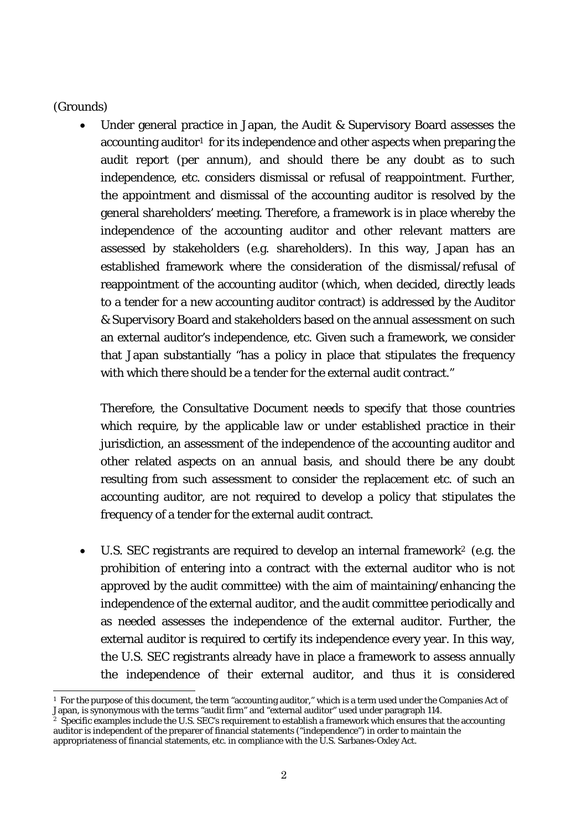## (Grounds)

 Under general practice in Japan, the Audit & Supervisory Board assesses the accounting auditor<sup>1</sup> for its independence and other aspects when preparing the audit report (per annum), and should there be any doubt as to such independence, etc. considers dismissal or refusal of reappointment. Further, the appointment and dismissal of the accounting auditor is resolved by the general shareholders' meeting. Therefore, a framework is in place whereby the independence of the accounting auditor and other relevant matters are assessed by stakeholders (e.g. shareholders). In this way, Japan has an established framework where the consideration of the dismissal/refusal of reappointment of the accounting auditor (which, when decided, directly leads to a tender for a new accounting auditor contract) is addressed by the Auditor & Supervisory Board and stakeholders based on the annual assessment on such an external auditor's independence, etc. Given such a framework, we consider that Japan substantially "has a policy in place that stipulates the frequency with which there should be a tender for the external audit contract."

Therefore, the Consultative Document needs to specify that those countries which require, by the applicable law or under established practice in their jurisdiction, an assessment of the independence of the accounting auditor and other related aspects on an annual basis, and should there be any doubt resulting from such assessment to consider the replacement etc. of such an accounting auditor, are not required to develop a policy that stipulates the frequency of a tender for the external audit contract.

 U.S. SEC registrants are required to develop an internal framework2 (e.g. the prohibition of entering into a contract with the external auditor who is not approved by the audit committee) with the aim of maintaining/enhancing the independence of the external auditor, and the audit committee periodically and as needed assesses the independence of the external auditor. Further, the external auditor is required to certify its independence every year. In this way, the U.S. SEC registrants already have in place a framework to assess annually the independence of their external auditor, and thus it is considered

<sup>-</sup> $1$  For the purpose of this document, the term "accounting auditor," which is a term used under the Companies Act of Japan, is synonymous with the terms "audit firm" and "external auditor" used under paragraph 114.

<sup>&</sup>lt;sup>2</sup> Specific examples include the U.S. SEC's requirement to establish a framework which ensures that the accounting auditor is independent of the preparer of financial statements ("independence") in order to maintain the appropriateness of financial statements, etc. in compliance with the U.S. Sarbanes-Oxley Act.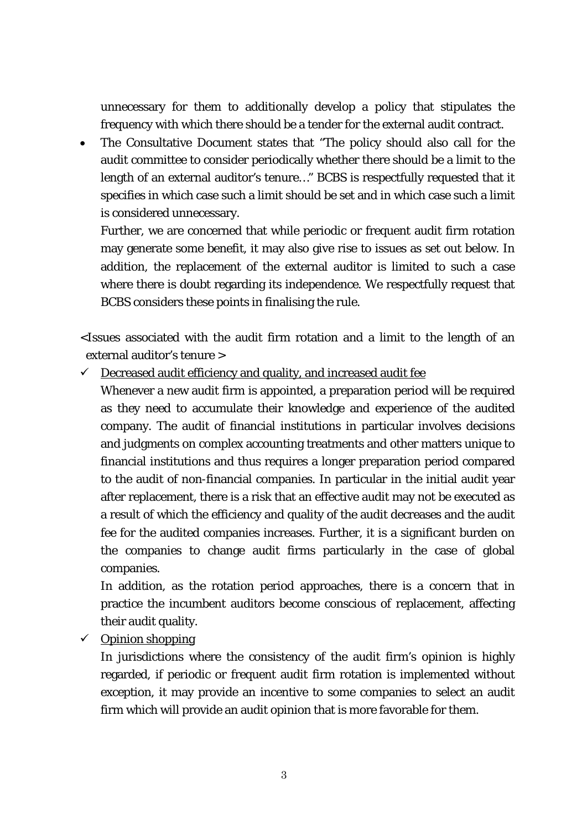unnecessary for them to additionally develop a policy that stipulates the frequency with which there should be a tender for the external audit contract.

 The Consultative Document states that "The policy should also call for the audit committee to consider periodically whether there should be a limit to the length of an external auditor's tenure…" BCBS is respectfully requested that it specifies in which case such a limit should be set and in which case such a limit is considered unnecessary.

Further, we are concerned that while periodic or frequent audit firm rotation may generate some benefit, it may also give rise to issues as set out below. In addition, the replacement of the external auditor is limited to such a case where there is doubt regarding its independence. We respectfully request that BCBS considers these points in finalising the rule.

<Issues associated with the audit firm rotation and a limit to the length of an external auditor's tenure >

 $\checkmark$  Decreased audit efficiency and quality, and increased audit fee

Whenever a new audit firm is appointed, a preparation period will be required as they need to accumulate their knowledge and experience of the audited company. The audit of financial institutions in particular involves decisions and judgments on complex accounting treatments and other matters unique to financial institutions and thus requires a longer preparation period compared to the audit of non-financial companies. In particular in the initial audit year after replacement, there is a risk that an effective audit may not be executed as a result of which the efficiency and quality of the audit decreases and the audit fee for the audited companies increases. Further, it is a significant burden on the companies to change audit firms particularly in the case of global companies.

In addition, as the rotation period approaches, there is a concern that in practice the incumbent auditors become conscious of replacement, affecting their audit quality.

 $\checkmark$  Opinion shopping

In jurisdictions where the consistency of the audit firm's opinion is highly regarded, if periodic or frequent audit firm rotation is implemented without exception, it may provide an incentive to some companies to select an audit firm which will provide an audit opinion that is more favorable for them.